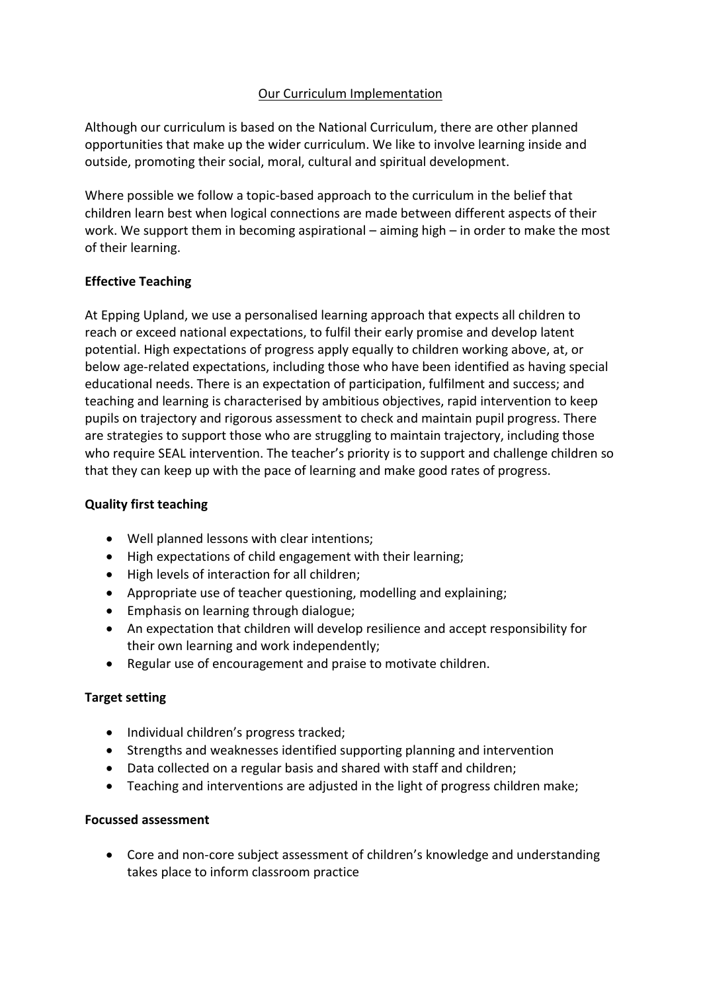# Our Curriculum Implementation

Although our curriculum is based on the National Curriculum, there are other planned opportunities that make up the wider curriculum. We like to involve learning inside and outside, promoting their social, moral, cultural and spiritual development.

Where possible we follow a topic-based approach to the curriculum in the belief that children learn best when logical connections are made between different aspects of their work. We support them in becoming aspirational – aiming high – in order to make the most of their learning.

## **Effective Teaching**

At Epping Upland, we use a personalised learning approach that expects all children to reach or exceed national expectations, to fulfil their early promise and develop latent potential. High expectations of progress apply equally to children working above, at, or below age-related expectations, including those who have been identified as having special educational needs. There is an expectation of participation, fulfilment and success; and teaching and learning is characterised by ambitious objectives, rapid intervention to keep pupils on trajectory and rigorous assessment to check and maintain pupil progress. There are strategies to support those who are struggling to maintain trajectory, including those who require SEAL intervention. The teacher's priority is to support and challenge children so that they can keep up with the pace of learning and make good rates of progress.

## **Quality first teaching**

- Well planned lessons with clear intentions;
- High expectations of child engagement with their learning;
- High levels of interaction for all children;
- Appropriate use of teacher questioning, modelling and explaining;
- Emphasis on learning through dialogue;
- An expectation that children will develop resilience and accept responsibility for their own learning and work independently;
- Regular use of encouragement and praise to motivate children.

## **Target setting**

- Individual children's progress tracked;
- Strengths and weaknesses identified supporting planning and intervention
- Data collected on a regular basis and shared with staff and children;
- Teaching and interventions are adjusted in the light of progress children make;

## **Focussed assessment**

• Core and non-core subject assessment of children's knowledge and understanding takes place to inform classroom practice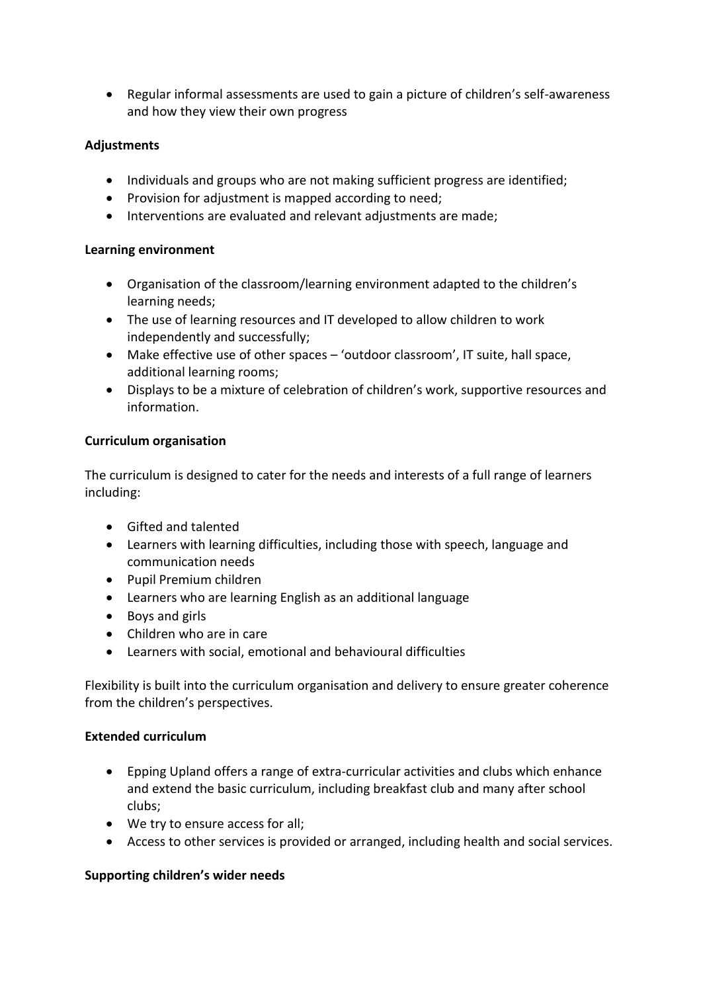• Regular informal assessments are used to gain a picture of children's self-awareness and how they view their own progress

# **Adjustments**

- Individuals and groups who are not making sufficient progress are identified;
- Provision for adjustment is mapped according to need;
- Interventions are evaluated and relevant adjustments are made;

## **Learning environment**

- Organisation of the classroom/learning environment adapted to the children's learning needs;
- The use of learning resources and IT developed to allow children to work independently and successfully;
- Make effective use of other spaces 'outdoor classroom', IT suite, hall space, additional learning rooms;
- Displays to be a mixture of celebration of children's work, supportive resources and information.

## **Curriculum organisation**

The curriculum is designed to cater for the needs and interests of a full range of learners including:

- Gifted and talented
- Learners with learning difficulties, including those with speech, language and communication needs
- Pupil Premium children
- Learners who are learning English as an additional language
- Boys and girls
- Children who are in care
- Learners with social, emotional and behavioural difficulties

Flexibility is built into the curriculum organisation and delivery to ensure greater coherence from the children's perspectives.

## **Extended curriculum**

- Epping Upland offers a range of extra-curricular activities and clubs which enhance and extend the basic curriculum, including breakfast club and many after school clubs;
- We try to ensure access for all;
- Access to other services is provided or arranged, including health and social services.

## **Supporting children's wider needs**